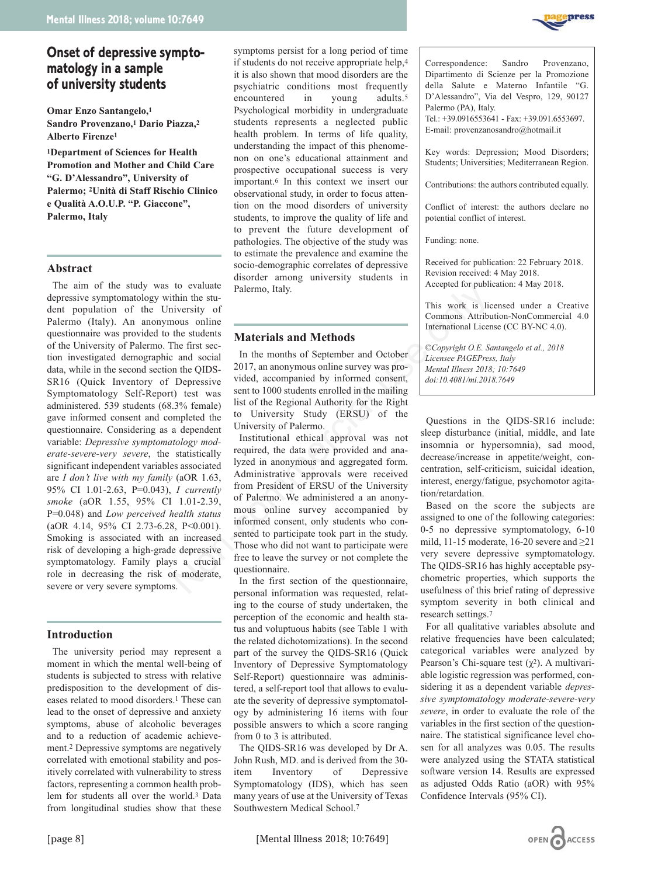# **Onset of depressive symptomatology in a sample of university students**

**Omar Enzo Santangelo,1 Sandro Provenzano,1 Dario Piazza,2 Alberto Firenze1**

**1Department of Sciences for Health Promotion and Mother and Child Care "G. D'Alessandro", University of Palermo; 2Unità di Staff Rischio Clinico e Qualità A.O.U.P. "P. Giaccone", Palermo, Italy**

## **Abstract**

The aim of the study was to evaluate depressive symptomatology within the student population of the University of Palermo (Italy). An anonymous online questionnaire was provided to the students of the University of Palermo. The first section investigated demographic and social data, while in the second section the QIDS-SR16 (Quick Inventory of Depressive Symptomatology Self-Report) test was administered. 539 students (68.3% female) gave informed consent and completed the questionnaire. Considering as a dependent variable: *Depressive symptomatology moderate-severe-very severe*, the statistically significant independent variables associated are *I don't live with my family* (aOR 1.63, 95% CI 1.01-2.63, P=0.043), *I currently smoke* (aOR 1.55, 95% CI 1.01-2.39, P=0.048) and *Low perceived health status* (aOR 4.14, 95% CI 2.73-6.28, P<0.001). Smoking is associated with an increased risk of developing a high-grade depressive symptomatology. Family plays a crucial role in decreasing the risk of moderate, severe or very severe symptoms.

# **Introduction**

The university period may represent a moment in which the mental well-being of students is subjected to stress with relative predisposition to the development of diseases related to mood disorders.1 These can lead to the onset of depressive and anxiety symptoms, abuse of alcoholic beverages and to a reduction of academic achievement.2 Depressive symptoms are negatively correlated with emotional stability and positively correlated with vulnerability to stress factors, representing a common health problem for students all over the world.3 Data from longitudinal studies show that these

symptoms persist for a long period of time if students do not receive appropriate help,4 it is also shown that mood disorders are the psychiatric conditions most frequently encountered in young adults.<sup>5</sup> Psychological morbidity in undergraduate students represents a neglected public health problem. In terms of life quality, understanding the impact of this phenomenon on one's educational attainment and prospective occupational success is very important.6 In this context we insert our observational study, in order to focus attention on the mood disorders of university students, to improve the quality of life and to prevent the future development of pathologies. The objective of the study was to estimate the prevalence and examine the socio-demographic correlates of depressive disorder among university students in Palermo, Italy.

# **Materials and Methods**

In the months of September and October 2017, an anonymous online survey was provided, accompanied by informed consent, sent to 1000 students enrolled in the mailing list of the Regional Authority for the Right to University Study (ERSU) of the University of Palermo.

Institutional ethical approval was not required, the data were provided and analyzed in anonymous and aggregated form. Administrative approvals were received from President of ERSU of the University of Palermo. We administered a an anonymous online survey accompanied by informed consent, only students who consented to participate took part in the study. Those who did not want to participate were free to leave the survey or not complete the questionnaire. No evaluate<br>
in the studient studients<br>
in the studients<br>
in the studients<br>
the studients<br>
the studients<br>
the studients<br>
the studients<br>
the studients<br>
the studients<br>
2017, an anonymous online survey was pro-<br>
Depressive v

In the first section of the questionnaire, personal information was requested, relating to the course of study undertaken, the perception of the economic and health status and voluptuous habits (see Table 1 with the related dichotomizations). In the second part of the survey the QIDS-SR16 (Quick Inventory of Depressive Symptomatology Self-Report) questionnaire was administered, a self-report tool that allows to evaluate the severity of depressive symptomatology by administering 16 items with four possible answers to which a score ranging from 0 to 3 is attributed.

The QIDS-SR16 was developed by Dr A. John Rush, MD. and is derived from the 30 item Inventory of Depressive Symptomatology (IDS), which has seen many years of use at the University of Texas Southwestern Medical School.7



Correspondence: Sandro Provenzano, Dipartimento di Scienze per la Promozione della Salute e Materno Infantile "G. D'Alessandro", Via del Vespro, 129, 90127 Palermo (PA), Italy.

Tel.: +39.0916553641 - Fax: +39.091.6553697. E-mail: provenzanosandro@hotmail.it

Key words: Depression; Mood Disorders; Students; Universities; Mediterranean Region.

Contributions: the authors contributed equally.

Conflict of interest: the authors declare no potential conflict of interest.

Funding: none.

Received for publication: 22 February 2018. Revision received: 4 May 2018. Accepted for publication: 4 May 2018.

This work is licensed under a Creative Commons Attribution-NonCommercial 4.0 International License (CC BY-NC 4.0).

*©Copyright O.E. Santangelo et al., 2018 Licensee PAGEPress, Italy Mental Illness 2018; 10:7649 doi:10.4081/mi.2018.7649*

Questions in the QIDS-SR16 include: sleep disturbance (initial, middle, and late insomnia or hypersomnia), sad mood, decrease/increase in appetite/weight, concentration, self-criticism, suicidal ideation, interest, energy/fatigue, psychomotor agitation/retardation.

Based on the score the subjects are assigned to one of the following categories: 0-5 no depressive symptomatology, 6-10 mild, 11-15 moderate, 16-20 severe and  $\geq$ 21 very severe depressive symptomatology. The QIDS-SR16 has highly acceptable psychometric properties, which supports the usefulness of this brief rating of depressive symptom severity in both clinical and research settings.7

For all qualitative variables absolute and relative frequencies have been calculated; categorical variables were analyzed by Pearson's Chi-square test  $(\chi^2)$ . A multivariable logistic regression was performed, considering it as a dependent variable *depressive symptomatology moderate-severe-very severe*, in order to evaluate the role of the variables in the first section of the questionnaire. The statistical significance level chosen for all analyzes was 0.05. The results were analyzed using the STATA statistical software version 14. Results are expressed as adjusted Odds Ratio (aOR) with 95% Confidence Intervals (95% CI).

[page 8] [Mental Illness 2018; 10:7649]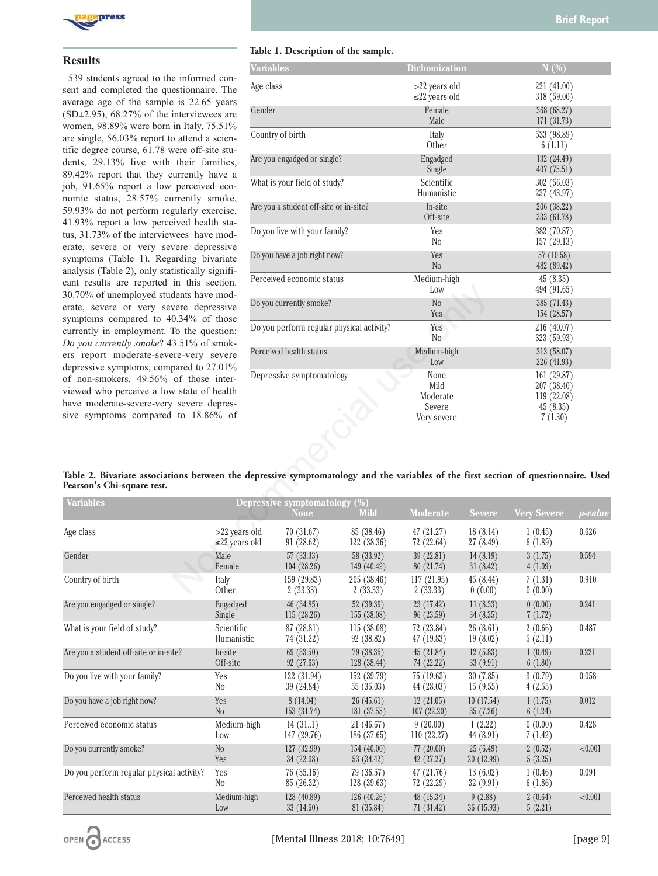

#### **Results**

539 students agreed to the informed consent and completed the questionnaire. The average age of the sample is 22.65 years  $(SD\pm2.95)$ , 68.27% of the interviewees are women, 98.89% were born in Italy, 75.51% are single, 56.03% report to attend a scientific degree course, 61.78 were off-site students, 29.13% live with their families, 89.42% report that they currently have a job, 91.65% report a low perceived economic status, 28.57% currently smoke, 59.93% do not perform regularly exercise, 41.93% report a low perceived health status, 31.73% of the interviewees have moderate, severe or very severe depressive symptoms (Table 1). Regarding bivariate analysis (Table 2), only statistically significant results are reported in this section. 30.70% of unemployed students have moderate, severe or very severe depressive symptoms compared to 40.34% of those currently in employment. To the question: *Do you currently smoke*? 43.51% of smokers report moderate-severe-very severe depressive symptoms, compared to 27.01% of non-smokers. 49.56% of those interviewed who perceive a low state of health have moderate-severe-very severe depressive symptoms compared to 18.86% of

#### **Table 1. Description of the sample.**

|                                                                                                                                                                                                                                                                                                                                                 | <b>Variables</b>                                     |                               |                                        | <b>Dichomization</b>                              |                            | N(%)                                                             |                |
|-------------------------------------------------------------------------------------------------------------------------------------------------------------------------------------------------------------------------------------------------------------------------------------------------------------------------------------------------|------------------------------------------------------|-------------------------------|----------------------------------------|---------------------------------------------------|----------------------------|------------------------------------------------------------------|----------------|
| e informed con-<br>estionnaire. The<br>e is 22.65 years                                                                                                                                                                                                                                                                                         | Age class                                            |                               | $>22$ years old<br>$\leq$ 22 years old |                                                   | 221 (41.00)<br>318 (59.00) |                                                                  |                |
| interviewees are<br>in Italy, 75.51%<br>o attend a scien-<br>vere off-site stu-<br>their families,<br>currently have a<br>perceived eco-<br>urrently smoke,<br>gularly exercise,<br>eived health sta-<br>wees have mod-<br>vere depressive<br>arding bivariate<br>tistically signifi-<br>in this section.<br>dents have mod-<br>vere depressive | Gender                                               |                               | Female<br>Male                         |                                                   | 368 (68.27)<br>171 (31.73) |                                                                  |                |
|                                                                                                                                                                                                                                                                                                                                                 | Country of birth                                     |                               |                                        | Italy<br>Other                                    |                            | 533 (98.89)<br>6(1.11)                                           |                |
|                                                                                                                                                                                                                                                                                                                                                 | Are you engadged or single?                          |                               |                                        | Engadged<br>Single                                |                            | 132 (24.49)<br>407 (75.51)                                       |                |
|                                                                                                                                                                                                                                                                                                                                                 |                                                      | What is your field of study?  | Scientific<br>Humanistic               |                                                   | 302(56.03)                 | 237 (43.97)                                                      |                |
|                                                                                                                                                                                                                                                                                                                                                 | Are you a student off-site or in-site?               |                               |                                        | In-site<br>Off-site                               |                            | 206 (38.22)<br>333 (61.78)                                       |                |
|                                                                                                                                                                                                                                                                                                                                                 |                                                      | Do you live with your family? | Yes<br>No                              |                                                   | 382 (70.87)<br>157 (29.13) |                                                                  |                |
|                                                                                                                                                                                                                                                                                                                                                 | Do you have a job right now?                         |                               |                                        | Yes<br>No                                         |                            | 57 (10.58)<br>482 (89.42)                                        |                |
|                                                                                                                                                                                                                                                                                                                                                 | Perceived economic status                            |                               |                                        | Medium-high<br>Low                                |                            | 45(8.35)<br>494 (91.65)                                          |                |
|                                                                                                                                                                                                                                                                                                                                                 | Do you currently smoke?                              |                               |                                        | N <sub>o</sub><br>Yes                             |                            | 385 (71.43)<br>154 (28.57)                                       |                |
| $0.34\%$ of those<br>To the question:                                                                                                                                                                                                                                                                                                           | Do you perform regular physical activity?            |                               |                                        | Yes<br>N <sub>o</sub>                             |                            | 216(40.07)<br>323 (59.93)                                        |                |
| $3.51\%$ of smok-<br>ere-very severe                                                                                                                                                                                                                                                                                                            | Perceived health status<br>Depressive symptomatology |                               |                                        | Medium-high<br>Low                                |                            | 313 (58.07)<br>226 (41.93)                                       |                |
| pared to $27.01\%$<br>of those inter-<br>v state of health<br>severe depres-<br>to $18.86\%$ of                                                                                                                                                                                                                                                 |                                                      |                               |                                        | None<br>Mild<br>Moderate<br>Severe<br>Very severe |                            | 161 (29.87)<br>207 (38.40)<br>119 (22.08)<br>45(8.35)<br>7(1.30) |                |
| ions between the depressive symptomatology and the variables of the first section of questionnaire. Used                                                                                                                                                                                                                                        |                                                      |                               |                                        |                                                   |                            |                                                                  |                |
|                                                                                                                                                                                                                                                                                                                                                 |                                                      | Depressive symptomatology (%) |                                        |                                                   |                            |                                                                  |                |
|                                                                                                                                                                                                                                                                                                                                                 |                                                      | <b>None</b>                   | <b>Mild</b>                            | <b>Moderate</b>                                   | <b>Severe</b>              | <b>Very Severe</b>                                               | <i>p-value</i> |
| >22 years old<br>$\leq$ 22 years old                                                                                                                                                                                                                                                                                                            |                                                      | 70 (31.67)<br>91 (28.62)      | 85 (38.46)<br>122 (38.36)              | 47 (21.27)<br>72 (22.64)                          | 18(8.14)<br>27 (8.49)      | 1(0.45)<br>6(1.89)                                               | 0.626          |
| Male<br>Female                                                                                                                                                                                                                                                                                                                                  |                                                      | 57 (33.33)<br>104 (28.26)     | 58 (33.92)<br>149 (40.49)              | 39 (22.81)<br>80 (21.74)                          | 14(8.19)<br>31(8.42)       | 3(1.75)<br>4(1.09)                                               | 0.594          |
| Italy<br>Other                                                                                                                                                                                                                                                                                                                                  |                                                      | 159 (29.83)<br>2(33.33)       | 205 (38.46)<br>2(33.33)                | 117 (21.95)<br>2(33.33)                           | 45 (8.44)<br>0(0.00)       | 7(1.31)<br>0(0.00)                                               | 0.910          |

#### **Table 2. Bivariate associations between the depressive symptomatology and the variables of the first section of questionnaire. Used Pearson's Chi-square test.**

| <b>Variables</b>                          |                                        | Depressive symptomatology (%) |                           |                          |                       |                    |                |
|-------------------------------------------|----------------------------------------|-------------------------------|---------------------------|--------------------------|-----------------------|--------------------|----------------|
|                                           |                                        | <b>None</b>                   | <b>Mild</b>               | <b>Moderate</b>          | Severe                | <b>Very Severe</b> | <i>p-value</i> |
| Age class                                 | $>22$ years old<br>$\leq$ 22 years old | 70(31.67)<br>91 (28.62)       | 85 (38.46)<br>122(38.36)  | 47(21.27)<br>72 (22.64)  | 18(8.14)<br>27(8.49)  | 1(0.45)<br>6(1.89) | 0.626          |
| Gender                                    | Male<br>Female                         | 57 (33.33)<br>104(28.26)      | 58 (33.92)<br>149 (40.49) | 39(22.81)<br>80 (21.74)  | 14(8.19)<br>31(8.42)  | 3(1.75)<br>4(1.09) | 0.594          |
| Country of birth                          | Italy<br>Other                         | 159(29.83)<br>2(33.33)        | 205 (38.46)<br>2(33.33)   | 117(21.95)<br>2(33.33)   | 45 (8.44)<br>0(0.00)  | 7(1.31)<br>0(0.00) | 0.910          |
| Are you engadged or single?               | Engadged<br>Single                     | 46 (34.85)<br>115 (28.26)     | 52 (39.39)<br>155 (38.08) | 23 (17.42)<br>96 (23.59) | 11(8.33)<br>34(8.35)  | 0(0.00)<br>7(1.72) | 0.241          |
| What is your field of study?              | Scientific<br>Humanistic               | 87 (28.81)<br>74 (31.22)      | 115(38.08)<br>92 (38.82)  | 72 (23.84)<br>47(19.83)  | 26(8.61)<br>19(8.02)  | 2(0.66)<br>5(2.11) | 0.487          |
| Are you a student off-site or in-site?    | In-site<br>Off-site                    | 69 (33.50)<br>92(27.63)       | 79(38.35)<br>128 (38.44)  | 45(21.84)<br>74 (22.22)  | 12(5.83)<br>33(9.91)  | 1(0.49)<br>6(1.80) | 0.221          |
| Do you live with your family?             | Yes<br>N <sub>0</sub>                  | 122(31.94)<br>39 (24.84)      | 152(39.79)<br>55(35.03)   | 75(19.63)<br>44 (28.03)  | 30(7.85)<br>15(9.55)  | 3(0.79)<br>4(2.55) | 0.058          |
| Do you have a job right now?              | Yes<br>N <sub>o</sub>                  | 8(14.04)<br>153(31.74)        | 26(45.61)<br>181 (37.55)  | 12(21.05)<br>107(22.20)  | 10(17.54)<br>35(7.26) | 1(1.75)<br>6(1.24) | 0.012          |
| Perceived economic status                 | Medium-high<br>Low                     | 14(31.1)<br>147 (29.76)       | 21 (46.67)<br>186 (37.65) | 9(20.00)<br>110(22.27)   | 1(2.22)<br>44 (8.91)  | 0(0.00)<br>7(1.42) | 0.428          |
| Do you currently smoke?                   | N <sub>o</sub><br>Yes                  | 127 (32.99)<br>34 (22.08)     | 154 (40.00)<br>53 (34.42) | 77(20.00)<br>42 (27.27)  | 25(6.49)<br>20(12.99) | 2(0.52)<br>5(3.25) | < 0.001        |
| Do you perform regular physical activity? | Yes<br>N <sub>0</sub>                  | 76(35.16)<br>85 (26.32)       | 79 (36.57)<br>128(39.63)  | 47 (21.76)<br>72 (22.29) | 13(6.02)<br>32(9.91)  | 1(0.46)<br>6(1.86) | 0.091          |
| Perceived health status                   | Medium-high<br>Low                     | 128 (40.89)<br>33 (14.60)     | 126(40.26)<br>81 (35.84)  | 48 (15.34)<br>71(31.42)  | 9(2.88)<br>36 (15.93) | 2(0.64)<br>5(2.21) | < 0.001        |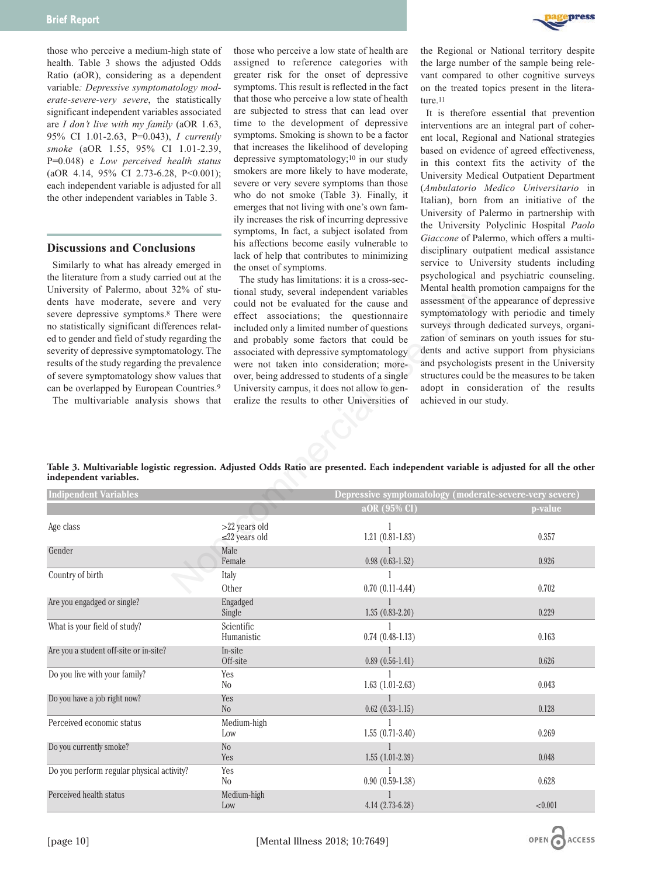those who perceive a medium-high state of health. Table 3 shows the adjusted Odds Ratio (aOR), considering as a dependent variable*: Depressive symptomatology moderate-severe-very severe*, the statistically significant independent variables associated are *I don't live with my family* (aOR 1.63, 95% CI 1.01-2.63, P=0.043), *I currently smoke* (aOR 1.55, 95% CI 1.01-2.39, P=0.048) e *Low perceived health status* (aOR 4.14, 95% CI 2.73-6.28, P<0.001); each independent variable is adjusted for all the other independent variables in Table 3.

#### **Discussions and Conclusions**

Similarly to what has already emerged in the literature from a study carried out at the University of Palermo, about 32% of students have moderate, severe and very severe depressive symptoms.8 There were no statistically significant differences related to gender and field of study regarding the severity of depressive symptomatology. The results of the study regarding the prevalence of severe symptomatology show values that can be overlapped by European Countries.9

those who perceive a low state of health are assigned to reference categories with greater risk for the onset of depressive symptoms. This result is reflected in the fact that those who perceive a low state of health are subjected to stress that can lead over time to the development of depressive symptoms. Smoking is shown to be a factor that increases the likelihood of developing depressive symptomatology;10 in our study smokers are more likely to have moderate, severe or very severe symptoms than those who do not smoke (Table 3). Finally, it emerges that not living with one's own family increases the risk of incurring depressive symptoms, In fact, a subject isolated from his affections become easily vulnerable to lack of help that contributes to minimizing the onset of symptoms.

The study has limitations: it is a cross-sectional study, several independent variables could not be evaluated for the cause and effect associations; the questionnaire included only a limited number of questions and probably some factors that could be associated with depressive symptomatology were not taken into consideration; moreover, being addressed to students of a single University campus, it does not allow to generalize the results to other Universities of



the Regional or National territory despite the large number of the sample being relevant compared to other cognitive surveys on the treated topics present in the literature.<sup>11</sup>

It is therefore essential that prevention interventions are an integral part of coherent local, Regional and National strategies based on evidence of agreed effectiveness, in this context fits the activity of the University Medical Outpatient Department (*Ambulatorio Medico Universitario* in Italian), born from an initiative of the University of Palermo in partnership with the University Polyclinic Hospital *Paolo Giaccone* of Palermo, which offers a multidisciplinary outpatient medical assistance service to University students including psychological and psychiatric counseling. Mental health promotion campaigns for the assessment of the appearance of depressive symptomatology with periodic and timely surveys through dedicated surveys, organization of seminars on youth issues for students and active support from physicians and psychologists present in the University structures could be the measures to be taken adopt in consideration of the results achieved in our study.

|                        |  | Table 3. Multivariable logistic regression. Adjusted Odds Ratio are presented. Each independent variable is adjusted for all the other |
|------------------------|--|----------------------------------------------------------------------------------------------------------------------------------------|
| independent variables. |  |                                                                                                                                        |

| University of Palermo, about 32% of stu-<br>dents have moderate, severe and very<br>severe depressive symptoms. <sup>8</sup> There were<br>no statistically significant differences relat-<br>ed to gender and field of study regarding the<br>severity of depressive symptomatology. The<br>results of the study regarding the prevalence<br>of severe symptomatology show values that<br>can be overlapped by European Countries. <sup>9</sup><br>The multivariable analysis shows that |                                      | tional study, several independent variables<br>could not be evaluated for the cause and<br>effect associations; the questionnaire<br>included only a limited number of questions<br>and probably some factors that could be<br>associated with depressive symptomatology<br>were not taken into consideration; more-<br>over, being addressed to students of a single<br>University campus, it does not allow to gen-<br>eralize the results to other Universities of | Mental health promotion campaigns for the<br>assessment of the appearance of depressive<br>symptomatology with periodic and timely<br>surveys through dedicated surveys, organi-<br>zation of seminars on youth issues for stu-<br>dents and active support from physicians<br>and psychologists present in the University<br>structures could be the measures to be taken<br>adopt in consideration of the results<br>achieved in our study. |  |
|-------------------------------------------------------------------------------------------------------------------------------------------------------------------------------------------------------------------------------------------------------------------------------------------------------------------------------------------------------------------------------------------------------------------------------------------------------------------------------------------|--------------------------------------|-----------------------------------------------------------------------------------------------------------------------------------------------------------------------------------------------------------------------------------------------------------------------------------------------------------------------------------------------------------------------------------------------------------------------------------------------------------------------|-----------------------------------------------------------------------------------------------------------------------------------------------------------------------------------------------------------------------------------------------------------------------------------------------------------------------------------------------------------------------------------------------------------------------------------------------|--|
| independent variables.                                                                                                                                                                                                                                                                                                                                                                                                                                                                    |                                      | Table 3. Multivariable logistic regression. Adjusted Odds Ratio are presented. Each independent variable is adjusted for all the other                                                                                                                                                                                                                                                                                                                                |                                                                                                                                                                                                                                                                                                                                                                                                                                               |  |
| <b>Indipendent Variables</b>                                                                                                                                                                                                                                                                                                                                                                                                                                                              |                                      | Depressive symptomatology (moderate-severe-very severe)                                                                                                                                                                                                                                                                                                                                                                                                               |                                                                                                                                                                                                                                                                                                                                                                                                                                               |  |
|                                                                                                                                                                                                                                                                                                                                                                                                                                                                                           |                                      | aOR (95% CI)                                                                                                                                                                                                                                                                                                                                                                                                                                                          | p-value                                                                                                                                                                                                                                                                                                                                                                                                                                       |  |
| Age class                                                                                                                                                                                                                                                                                                                                                                                                                                                                                 | >22 years old<br>$\leq$ 22 years old | 1<br>$1.21(0.81-1.83)$                                                                                                                                                                                                                                                                                                                                                                                                                                                | 0.357                                                                                                                                                                                                                                                                                                                                                                                                                                         |  |
| Gender                                                                                                                                                                                                                                                                                                                                                                                                                                                                                    | Male<br>Female                       | 1<br>$0.98(0.63-1.52)$                                                                                                                                                                                                                                                                                                                                                                                                                                                | 0.926                                                                                                                                                                                                                                                                                                                                                                                                                                         |  |
| Country of birth                                                                                                                                                                                                                                                                                                                                                                                                                                                                          | Italy<br>Other                       | 1<br>$0.70(0.11-4.44)$                                                                                                                                                                                                                                                                                                                                                                                                                                                | 0.702                                                                                                                                                                                                                                                                                                                                                                                                                                         |  |
| Are you engadged or single?                                                                                                                                                                                                                                                                                                                                                                                                                                                               | Engadged<br>Single                   | $\mathbf{1}$<br>$1.35(0.83 - 2.20)$                                                                                                                                                                                                                                                                                                                                                                                                                                   | 0.229                                                                                                                                                                                                                                                                                                                                                                                                                                         |  |
| What is your field of study?                                                                                                                                                                                                                                                                                                                                                                                                                                                              | Scientific<br>Humanistic             | $\mathbf{1}$<br>$0.74$ $(0.48-1.13)$                                                                                                                                                                                                                                                                                                                                                                                                                                  | 0.163                                                                                                                                                                                                                                                                                                                                                                                                                                         |  |
| Are you a student off-site or in-site?                                                                                                                                                                                                                                                                                                                                                                                                                                                    | In-site<br>Off-site                  | $\mathbf{1}$<br>$0.89(0.56-1.41)$                                                                                                                                                                                                                                                                                                                                                                                                                                     | 0.626                                                                                                                                                                                                                                                                                                                                                                                                                                         |  |
| Do you live with your family?                                                                                                                                                                                                                                                                                                                                                                                                                                                             | Yes<br>No                            | 1<br>$1.63(1.01-2.63)$                                                                                                                                                                                                                                                                                                                                                                                                                                                | 0.043                                                                                                                                                                                                                                                                                                                                                                                                                                         |  |
| Do you have a job right now?                                                                                                                                                                                                                                                                                                                                                                                                                                                              | Yes<br>N <sub>o</sub>                | $0.62$ $(0.33-1.15)$                                                                                                                                                                                                                                                                                                                                                                                                                                                  | 0.128                                                                                                                                                                                                                                                                                                                                                                                                                                         |  |
| Perceived economic status                                                                                                                                                                                                                                                                                                                                                                                                                                                                 | Medium-high<br>Low                   | 1<br>$1.55(0.71-3.40)$                                                                                                                                                                                                                                                                                                                                                                                                                                                | 0.269                                                                                                                                                                                                                                                                                                                                                                                                                                         |  |
| Do you currently smoke?                                                                                                                                                                                                                                                                                                                                                                                                                                                                   | N <sub>o</sub><br>Yes                | $1.55(1.01-2.39)$                                                                                                                                                                                                                                                                                                                                                                                                                                                     | 0.048                                                                                                                                                                                                                                                                                                                                                                                                                                         |  |
| Do you perform regular physical activity?                                                                                                                                                                                                                                                                                                                                                                                                                                                 | Yes<br>No                            | 1<br>$0.90(0.59-1.38)$                                                                                                                                                                                                                                                                                                                                                                                                                                                | 0.628                                                                                                                                                                                                                                                                                                                                                                                                                                         |  |
| Perceived health status                                                                                                                                                                                                                                                                                                                                                                                                                                                                   | Medium-high<br>Low                   | $4.14(2.73-6.28)$                                                                                                                                                                                                                                                                                                                                                                                                                                                     | < 0.001                                                                                                                                                                                                                                                                                                                                                                                                                                       |  |